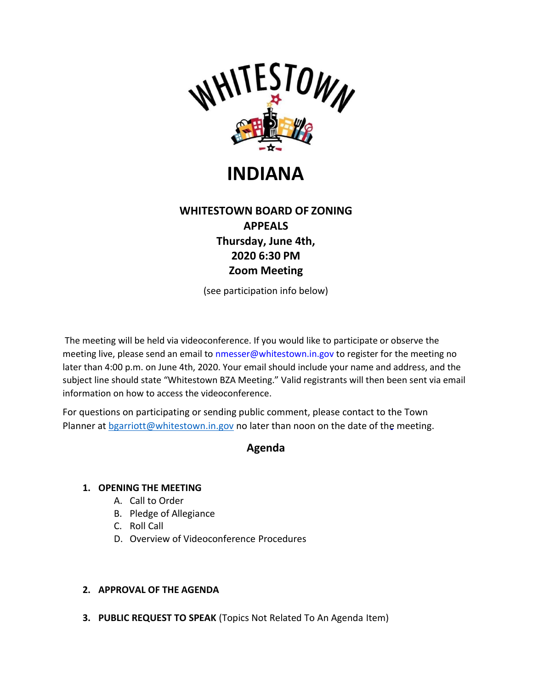

# **INDIANA**

# **WHITESTOWN BOARD OF ZONING APPEALS Thursday, June 4th, 2020 6:30 PM Zoom Meeting**

(see participation info below)

The meeting will be held via videoconference. If you would like to participate or observe the meeting live, please send an email to [nmesser@whitestown.in.gov t](mailto:nmesser@whitestown.in.gov)o register for the meeting no later than 4:00 p.m. on June 4th, 2020. Your email should include your name and address, and the subject line should state "Whitestown BZA Meeting." Valid registrants will then been sent via email information on how to access the videoconference.

For questions on participating or sending public comment, please contact to the Town Planner at [bgarriott@whitestown.in.gov](mailto:bgarriott@whitestown.in.gov) no later than noon on the date of the meeting.

# **Agenda**

## **1. OPENING THE MEETING**

- A. Call to Order
- B. Pledge of Allegiance
- C. Roll Call
- D. Overview of Videoconference Procedures

# **2. APPROVAL OF THE AGENDA**

**3. PUBLIC REQUEST TO SPEAK** (Topics Not Related To An Agenda Item)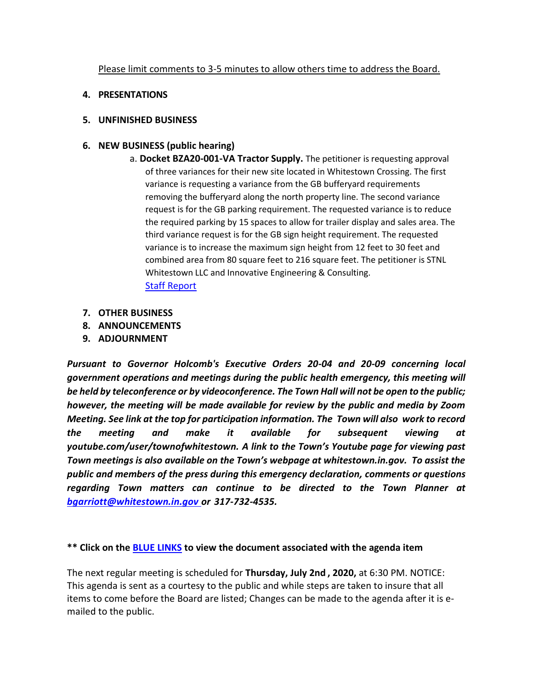Please limit comments to 3-5 minutes to allow others time to address the Board.

#### **4. PRESENTATIONS**

#### **5. UNFINISHED BUSINESS**

### **6. NEW BUSINESS (public hearing)**

a. **Docket BZA20-001-VA Tractor Supply.** The petitioner is requesting approval of three variances for their new site located in Whitestown Crossing. The first variance is requesting a variance from the GB bufferyard requirements removing the bufferyard along the north property line. The second variance request is for the GB parking requirement. The requested variance is to reduce the required parking by 15 spaces to allow for trailer display and sales area. The third variance request is for the GB sign height requirement. The requested variance is to increase the maximum sign height from 12 feet to 30 feet and combined area from 80 square feet to 216 square feet. The petitioner is STNL Whitestown LLC and Innovative Engineering & Consulting.

[Staff Report](https://whitestown.in.gov/vertical/sites/%7BB8BE8AC3-9DE8-4247-BCB0-1173F48CC7C3%7D/uploads/Staff_Report_BZA20-001-VA.pdf)

- **7. OTHER BUSINESS**
- **8. ANNOUNCEMENTS**
- **9. ADJOURNMENT**

*Pursuant to Governor Holcomb's Executive Orders 20-04 and 20-09 concerning local government operations and meetings during the public health emergency, this meeting will be held by teleconference or by videoconference. The Town Hall will not be open to the public; however, the meeting will be made available for review by the public and media by Zoom Meeting. See link at the top for participation information. The Town will also work to record the meeting and make it available for subsequent viewing at youtube.com/user/townofwhitestown. A link to the Town's Youtube page for viewing past Town meetings is also available on the Town's webpage at whitestown.in.gov. To assist the public and members of the press during this emergency declaration, comments or questions regarding Town matters can continue to be directed to the Town Planner at [bgarriott@whitestown.in.gov or](mailto:bgarriott@whitestown.in.govor) 317-732-4535.*

**\*\* Click on the [BLUE LINKS](http://www.whitestown.in.gov/index.asp?SEC=E4A34318-0C9F-4448-A4F6-EED0D87BA339&%3BDE=09BE54D1-6AEB-4EEF-96D5-ABCEF31785C3&%3BType=B_BASIC) to view the document associated with the agenda item**

The next regular meeting is scheduled for **Thursday, July 2nd , 2020,** at 6:30 PM. NOTICE: This agenda is sent as a courtesy to the public and while steps are taken to insure that all items to come before the Board are listed; Changes can be made to the agenda after it is emailed to the public.